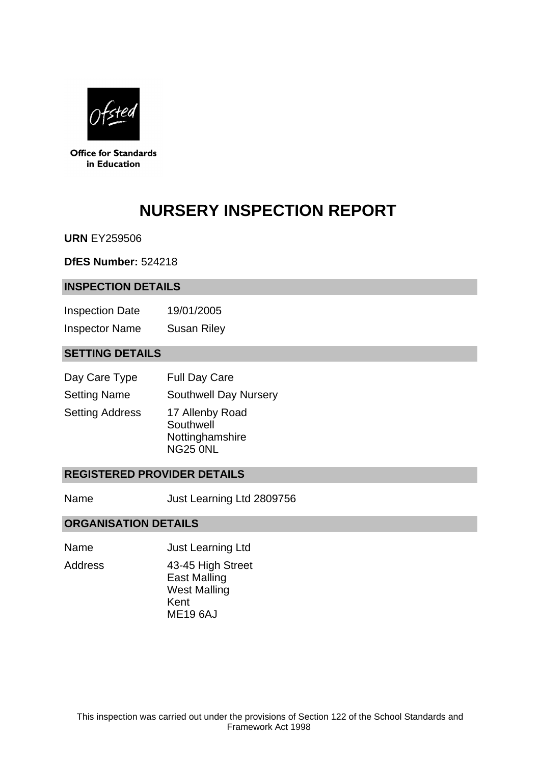

**Office for Standards** in Education

# **NURSERY INSPECTION REPORT**

**URN** EY259506

**DfES Number:** 524218

#### **INSPECTION DETAILS**

Inspection Date 19/01/2005 Inspector Name Susan Riley

## **SETTING DETAILS**

| Day Care Type          | <b>Full Day Care</b>                                               |
|------------------------|--------------------------------------------------------------------|
| <b>Setting Name</b>    | <b>Southwell Day Nursery</b>                                       |
| <b>Setting Address</b> | 17 Allenby Road<br>Southwell<br>Nottinghamshire<br><b>NG25 0NL</b> |

#### **REGISTERED PROVIDER DETAILS**

Name **Just Learning Ltd 2809756** 

#### **ORGANISATION DETAILS**

Name Just Learning Ltd

Address 43-45 High Street East Malling West Malling Kent ME19 6AJ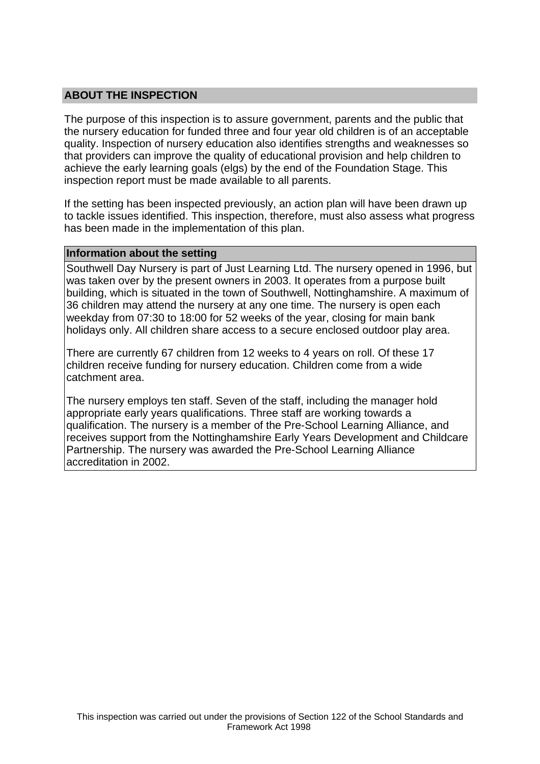#### **ABOUT THE INSPECTION**

The purpose of this inspection is to assure government, parents and the public that the nursery education for funded three and four year old children is of an acceptable quality. Inspection of nursery education also identifies strengths and weaknesses so that providers can improve the quality of educational provision and help children to achieve the early learning goals (elgs) by the end of the Foundation Stage. This inspection report must be made available to all parents.

If the setting has been inspected previously, an action plan will have been drawn up to tackle issues identified. This inspection, therefore, must also assess what progress has been made in the implementation of this plan.

#### **Information about the setting**

Southwell Day Nursery is part of Just Learning Ltd. The nursery opened in 1996, but was taken over by the present owners in 2003. It operates from a purpose built building, which is situated in the town of Southwell, Nottinghamshire. A maximum of 36 children may attend the nursery at any one time. The nursery is open each weekday from 07:30 to 18:00 for 52 weeks of the year, closing for main bank holidays only. All children share access to a secure enclosed outdoor play area.

There are currently 67 children from 12 weeks to 4 years on roll. Of these 17 children receive funding for nursery education. Children come from a wide catchment area.

The nursery employs ten staff. Seven of the staff, including the manager hold appropriate early years qualifications. Three staff are working towards a qualification. The nursery is a member of the Pre-School Learning Alliance, and receives support from the Nottinghamshire Early Years Development and Childcare Partnership. The nursery was awarded the Pre-School Learning Alliance accreditation in 2002.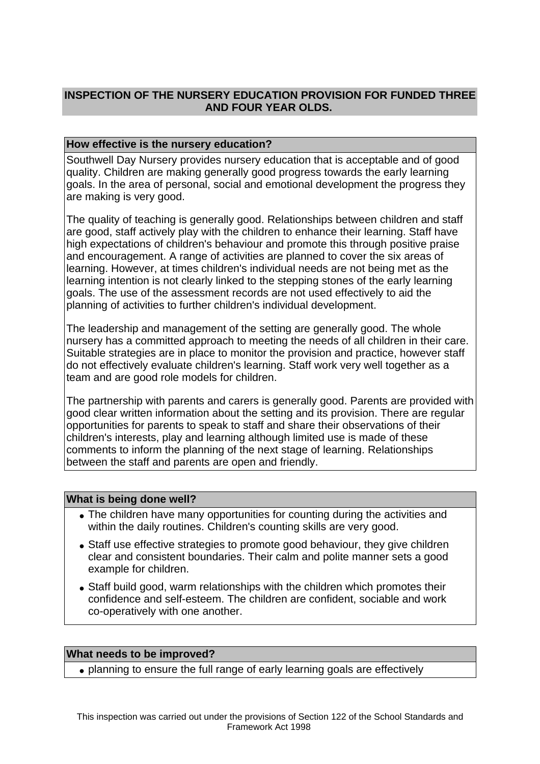## **INSPECTION OF THE NURSERY EDUCATION PROVISION FOR FUNDED THREE AND FOUR YEAR OLDS.**

#### **How effective is the nursery education?**

Southwell Day Nursery provides nursery education that is acceptable and of good quality. Children are making generally good progress towards the early learning goals. In the area of personal, social and emotional development the progress they are making is very good.

The quality of teaching is generally good. Relationships between children and staff are good, staff actively play with the children to enhance their learning. Staff have high expectations of children's behaviour and promote this through positive praise and encouragement. A range of activities are planned to cover the six areas of learning. However, at times children's individual needs are not being met as the learning intention is not clearly linked to the stepping stones of the early learning qoals. The use of the assessment records are not used effectively to aid the planning of activities to further children's individual development.

The leadership and management of the setting are generally good. The whole nursery has a committed approach to meeting the needs of all children in their care. Suitable strategies are in place to monitor the provision and practice, however staff do not effectively evaluate children's learning. Staff work very well together as a team and are good role models for children.

The partnership with parents and carers is generally good. Parents are provided with good clear written information about the setting and its provision. There are regular opportunities for parents to speak to staff and share their observations of their children's interests, play and learning although limited use is made of these comments to inform the planning of the next stage of learning. Relationships between the staff and parents are open and friendly.

#### **What is being done well?**

- The children have many opportunities for counting during the activities and within the daily routines. Children's counting skills are very good.
- Staff use effective strategies to promote good behaviour, they give children clear and consistent boundaries. Their calm and polite manner sets a good example for children.
- Staff build good, warm relationships with the children which promotes their confidence and self-esteem. The children are confident, sociable and work co-operatively with one another.

#### **What needs to be improved?**

• planning to ensure the full range of early learning goals are effectively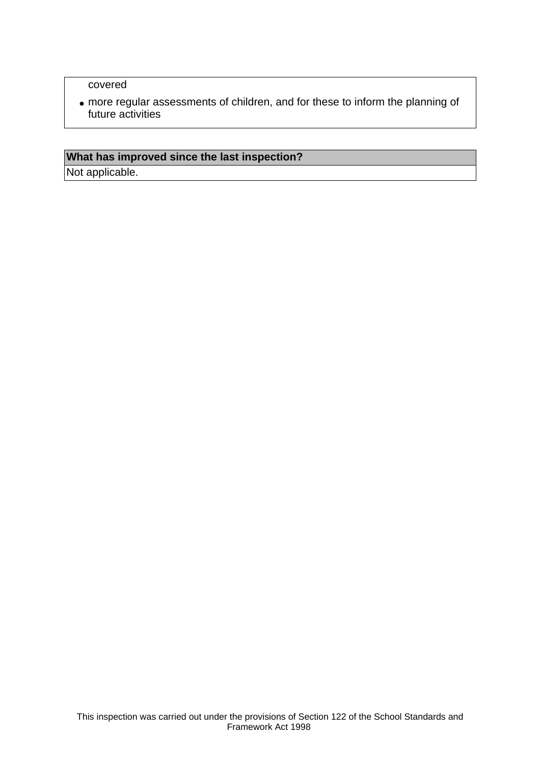covered

• more regular assessments of children, and for these to inform the planning of future activities

# **What has improved since the last inspection?**

Not applicable.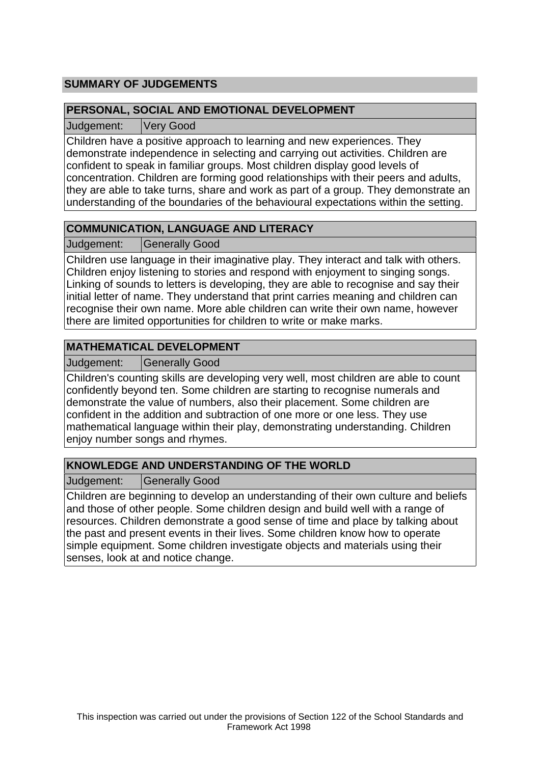# **SUMMARY OF JUDGEMENTS**

#### **PERSONAL, SOCIAL AND EMOTIONAL DEVELOPMENT**

Judgement: Very Good

Children have a positive approach to learning and new experiences. They demonstrate independence in selecting and carrying out activities. Children are confident to speak in familiar groups. Most children display good levels of concentration. Children are forming good relationships with their peers and adults, they are able to take turns, share and work as part of a group. They demonstrate an understanding of the boundaries of the behavioural expectations within the setting.

# **COMMUNICATION, LANGUAGE AND LITERACY**

Judgement: Generally Good

Children use language in their imaginative play. They interact and talk with others. Children enjoy listening to stories and respond with enjoyment to singing songs. Linking of sounds to letters is developing, they are able to recognise and say their initial letter of name. They understand that print carries meaning and children can recognise their own name. More able children can write their own name, however there are limited opportunities for children to write or make marks.

# **MATHEMATICAL DEVELOPMENT**

Judgement: | Generally Good

Children's counting skills are developing very well, most children are able to count confidently beyond ten. Some children are starting to recognise numerals and demonstrate the value of numbers, also their placement. Some children are confident in the addition and subtraction of one more or one less. They use mathematical language within their play, demonstrating understanding. Children enjoy number songs and rhymes.

# **KNOWLEDGE AND UNDERSTANDING OF THE WORLD**

Judgement: Generally Good

Children are beginning to develop an understanding of their own culture and beliefs and those of other people. Some children design and build well with a range of resources. Children demonstrate a good sense of time and place by talking about the past and present events in their lives. Some children know how to operate simple equipment. Some children investigate objects and materials using their senses, look at and notice change.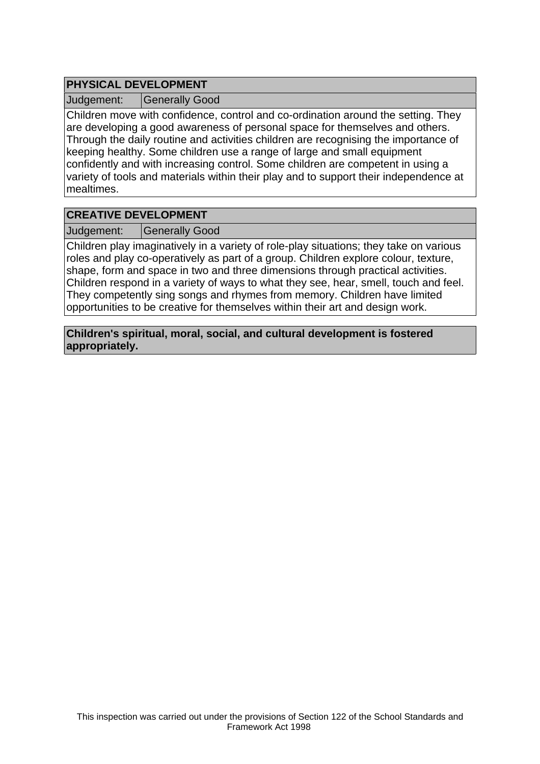# **PHYSICAL DEVELOPMENT**

Judgement: Generally Good

Children move with confidence, control and co-ordination around the setting. They are developing a good awareness of personal space for themselves and others. Through the daily routine and activities children are recognising the importance of keeping healthy. Some children use a range of large and small equipment confidently and with increasing control. Some children are competent in using a variety of tools and materials within their play and to support their independence at mealtimes.

# **CREATIVE DEVELOPMENT**

Judgement: Generally Good

Children play imaginatively in a variety of role-play situations; they take on various roles and play co-operatively as part of a group. Children explore colour, texture, shape, form and space in two and three dimensions through practical activities. Children respond in a variety of ways to what they see, hear, smell, touch and feel. They competently sing songs and rhymes from memory. Children have limited opportunities to be creative for themselves within their art and design work.

**Children's spiritual, moral, social, and cultural development is fostered appropriately.**